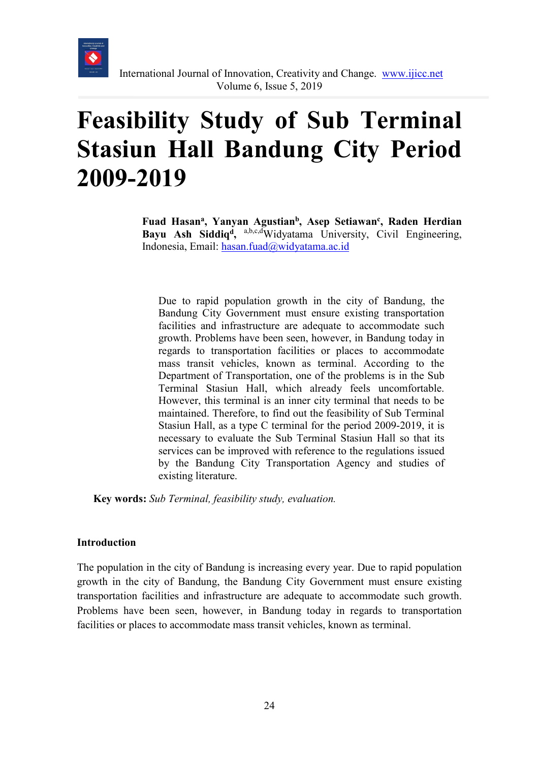

# **Feasibility Study of Sub Terminal Stasiun Hall Bandung City Period 2009-2019**

Fuad Hasan<sup>a</sup>, Yanyan Agustian<sup>b</sup>, Asep Setiawan<sup>c</sup>, Raden Herdian Bayu Ash Siddiq<sup>d</sup>, a,b,c,dWidyatama University, Civil Engineering, Indonesia, Email: [hasan.fuad@widyatama.ac.id](mailto:hasan.fuad@widyatama.ac.id)

Due to rapid population growth in the city of Bandung, the Bandung City Government must ensure existing transportation facilities and infrastructure are adequate to accommodate such growth. Problems have been seen, however, in Bandung today in regards to transportation facilities or places to accommodate mass transit vehicles, known as terminal. According to the Department of Transportation, one of the problems is in the Sub Terminal Stasiun Hall, which already feels uncomfortable. However, this terminal is an inner city terminal that needs to be maintained. Therefore, to find out the feasibility of Sub Terminal Stasiun Hall, as a type C terminal for the period 2009-2019, it is necessary to evaluate the Sub Terminal Stasiun Hall so that its services can be improved with reference to the regulations issued by the Bandung City Transportation Agency and studies of existing literature.

**Key words:** *Sub Terminal, feasibility study, evaluation.*

#### **Introduction**

The population in the city of Bandung is increasing every year. Due to rapid population growth in the city of Bandung, the Bandung City Government must ensure existing transportation facilities and infrastructure are adequate to accommodate such growth. Problems have been seen, however, in Bandung today in regards to transportation facilities or places to accommodate mass transit vehicles, known as terminal.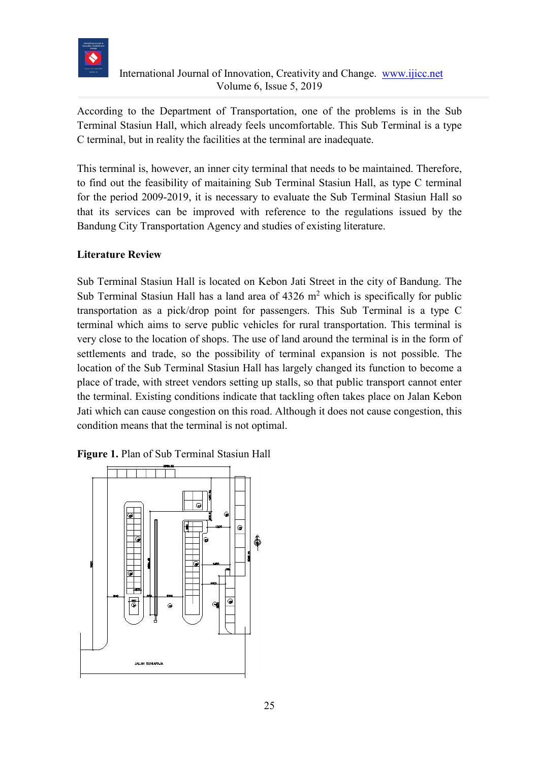

## International Journal of Innovation, Creativity and Change. [www.ijicc.net](http://www.ijicc.net/) Volume 6, Issue 5, 2019

According to the Department of Transportation, one of the problems is in the Sub Terminal Stasiun Hall, which already feels uncomfortable. This Sub Terminal is a type C terminal, but in reality the facilities at the terminal are inadequate.

This terminal is, however, an inner city terminal that needs to be maintained. Therefore, to find out the feasibility of maitaining Sub Terminal Stasiun Hall, as type C terminal for the period 2009-2019, it is necessary to evaluate the Sub Terminal Stasiun Hall so that its services can be improved with reference to the regulations issued by the Bandung City Transportation Agency and studies of existing literature.

## **Literature Review**

Sub Terminal Stasiun Hall is located on Kebon Jati Street in the city of Bandung. The Sub Terminal Stasiun Hall has a land area of  $4326 \text{ m}^2$  which is specifically for public transportation as a pick/drop point for passengers. This Sub Terminal is a type C terminal which aims to serve public vehicles for rural transportation. This terminal is very close to the location of shops. The use of land around the terminal is in the form of settlements and trade, so the possibility of terminal expansion is not possible. The location of the Sub Terminal Stasiun Hall has largely changed its function to become a place of trade, with street vendors setting up stalls, so that public transport cannot enter the terminal. Existing conditions indicate that tackling often takes place on Jalan Kebon Jati which can cause congestion on this road. Although it does not cause congestion, this condition means that the terminal is not optimal.



**Figure 1.** Plan of Sub Terminal Stasiun Hall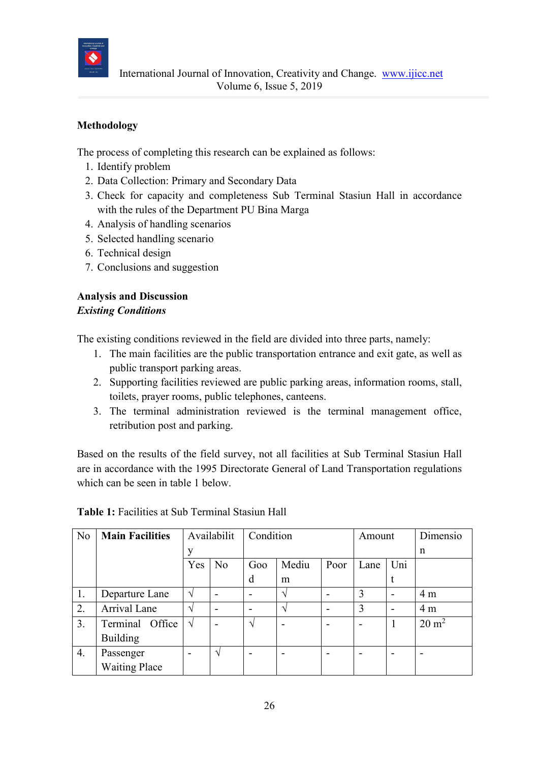

# **Methodology**

The process of completing this research can be explained as follows:

- 1. Identify problem
- 2. Data Collection: Primary and Secondary Data
- 3. Check for capacity and completeness Sub Terminal Stasiun Hall in accordance with the rules of the Department PU Bina Marga
- 4. Analysis of handling scenarios
- 5. Selected handling scenario
- 6. Technical design
- 7. Conclusions and suggestion

## **Analysis and Discussion** *Existing Conditions*

The existing conditions reviewed in the field are divided into three parts, namely:

- 1. The main facilities are the public transportation entrance and exit gate, as well as public transport parking areas.
- 2. Supporting facilities reviewed are public parking areas, information rooms, stall, toilets, prayer rooms, public telephones, canteens.
- 3. The terminal administration reviewed is the terminal management office, retribution post and parking.

Based on the results of the field survey, not all facilities at Sub Terminal Stasiun Hall are in accordance with the 1995 Directorate General of Land Transportation regulations which can be seen in table 1 below.

| N <sub>o</sub> | <b>Main Facilities</b> |               | Availabilit    | Condition |       | Amount |      | Dimensio |                  |
|----------------|------------------------|---------------|----------------|-----------|-------|--------|------|----------|------------------|
|                |                        | V             |                |           |       |        |      |          | n                |
|                |                        | Yes           | N <sub>o</sub> | Goo       | Mediu | Poor   | Lane | Uni      |                  |
|                |                        |               |                | d         | m     |        |      | t        |                  |
| 1.             | Departure Lane         | $\mathcal{N}$ |                |           | ٦     |        | 3    |          | 4 <sub>m</sub>   |
| 2.             | Arrival Lane           | $\mathcal{N}$ |                |           | ٦     |        | 3    |          | 4 <sub>m</sub>   |
| 3.             | Terminal Office        | $\sqrt{}$     |                | ا^        |       |        |      |          | $20 \text{ m}^2$ |
|                | <b>Building</b>        |               |                |           |       |        |      |          |                  |
| 4.             | Passenger              |               | $\mathcal{L}$  |           |       |        |      |          |                  |
|                | <b>Waiting Place</b>   |               |                |           |       |        |      |          |                  |

**Table 1:** Facilities at Sub Terminal Stasiun Hall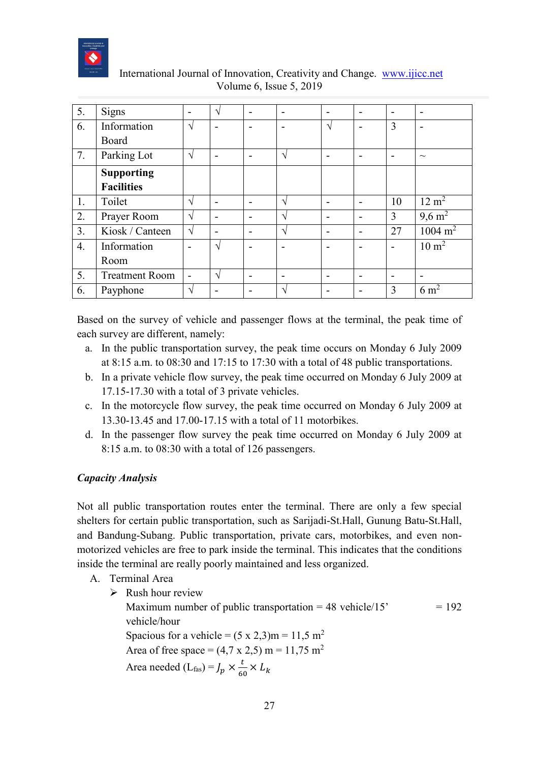

| 5.               | Signs                 | $\overline{\phantom{0}}$ | ٦Ι                       |                          | $\overline{\phantom{0}}$ | $\overline{\phantom{0}}$ | $\overline{\phantom{0}}$ | $\overline{\phantom{0}}$ |                    |
|------------------|-----------------------|--------------------------|--------------------------|--------------------------|--------------------------|--------------------------|--------------------------|--------------------------|--------------------|
| 6.               | Information           | V                        |                          |                          |                          | N                        | $\blacksquare$           | $\overline{3}$           |                    |
|                  | Board                 |                          |                          |                          |                          |                          |                          |                          |                    |
| 7.               | Parking Lot           | $\sqrt{ }$               |                          |                          | ٦                        |                          |                          |                          | $\sim$             |
|                  | <b>Supporting</b>     |                          |                          |                          |                          |                          |                          |                          |                    |
|                  | <b>Facilities</b>     |                          |                          |                          |                          |                          |                          |                          |                    |
| 1.               | Toilet                | N                        |                          |                          | $\mathcal{L}$            | $\overline{\phantom{0}}$ |                          | 10                       | $12 \text{ m}^2$   |
| 2.               | Prayer Room           | ٦                        | $\overline{\phantom{0}}$ | $\overline{\phantom{0}}$ | ٦                        | $\overline{\phantom{0}}$ | $\overline{\phantom{0}}$ | 3                        | $9,6 \text{ m}^2$  |
| 3.               | Kiosk / Canteen       | $\sqrt{ }$               |                          |                          | $\mathcal{L}$            | $\overline{\phantom{0}}$ | -                        | 27                       | $1004 \text{ m}^2$ |
| $\overline{4}$ . | Information           |                          | N                        |                          |                          | $\overline{\phantom{0}}$ |                          |                          | $10 \text{ m}^2$   |
|                  | Room                  |                          |                          |                          |                          |                          |                          |                          |                    |
| 5.               | <b>Treatment Room</b> |                          | ٦Ι                       |                          |                          |                          |                          |                          |                    |
| 6.               | Payphone              | V                        |                          |                          | $\Delta$                 |                          |                          | 3                        | $6 \text{ m}^2$    |

# International Journal of Innovation, Creativity and Change. [www.ijicc.net](http://www.ijicc.net/) Volume 6, Issue 5, 2019

Based on the survey of vehicle and passenger flows at the terminal, the peak time of each survey are different, namely:

- a. In the public transportation survey, the peak time occurs on Monday 6 July 2009 at 8:15 a.m. to 08:30 and 17:15 to 17:30 with a total of 48 public transportations.
- b. In a private vehicle flow survey, the peak time occurred on Monday 6 July 2009 at 17.15-17.30 with a total of 3 private vehicles.
- c. In the motorcycle flow survey, the peak time occurred on Monday 6 July 2009 at 13.30-13.45 and 17.00-17.15 with a total of 11 motorbikes.
- d. In the passenger flow survey the peak time occurred on Monday 6 July 2009 at 8:15 a.m. to 08:30 with a total of 126 passengers.

## *Capacity Analysis*

Not all public transportation routes enter the terminal. There are only a few special shelters for certain public transportation, such as Sarijadi-St.Hall, Gunung Batu-St.Hall, and Bandung-Subang. Public transportation, private cars, motorbikes, and even nonmotorized vehicles are free to park inside the terminal. This indicates that the conditions inside the terminal are really poorly maintained and less organized.

- A. Terminal Area
	- $\triangleright$  Rush hour review Maximum number of public transportation  $= 48$  vehicle/15'  $= 192$ vehicle/hour Spacious for a vehicle =  $(5 \times 2,3)$ m = 11,5 m<sup>2</sup> Area of free space =  $(4.7 \times 2.5)$  m = 11,75 m<sup>2</sup> Area needed (L<sub>fas</sub>) =  $J_p \times \frac{t}{6}$  $\frac{1}{60}$   $\times$   $L_k$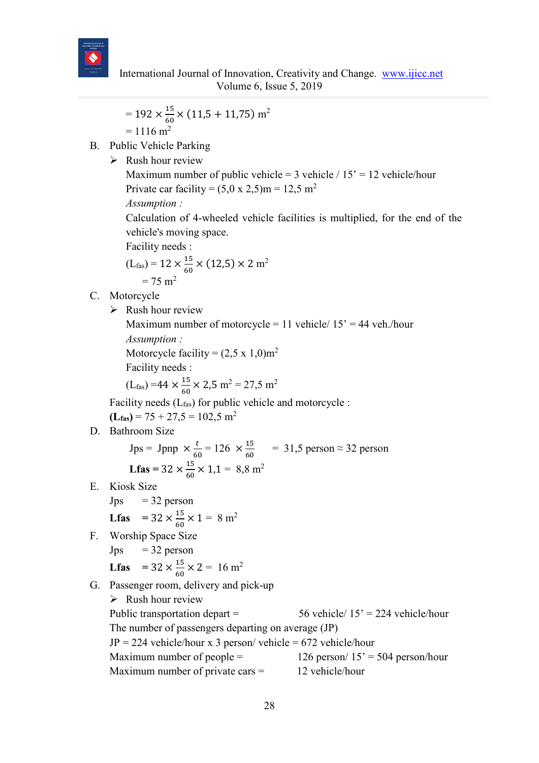

$$
= 192 \times \frac{15}{60} \times (11.5 + 11.75) \text{ m}^2
$$

$$
= 1116 \text{ m}^2
$$

- B. Public Vehicle Parking
	- $\triangleright$  Rush hour review

Maximum number of public vehicle = 3 vehicle /  $15' = 12$  vehicle/hour Private car facility =  $(5.0 \times 2.5)$ m = 12.5 m<sup>2</sup>

*Assumption :*

Calculation of 4-wheeled vehicle facilities is multiplied, for the end of the vehicle's moving space.

Facility needs :

$$
(L_{\text{fas}}) = 12 \times \frac{15}{60} \times (12.5) \times 2 \text{ m}^2
$$

$$
= 75 \text{ m}^2
$$

- C. Motorcycle
	- $\triangleright$  Rush hour review

Maximum number of motorcycle = 11 vehicle/  $15'$  = 44 veh./hour *Assumption :*

Motorcycle facility =  $(2,5 \times 1,0)$ m<sup>2</sup>

Facility needs :

$$
(L_{\rm fas}) = 44 \times \frac{15}{60} \times 2,5 \text{ m}^2 = 27,5 \text{ m}^2
$$

Facility needs (Lfas) for public vehicle and motorcycle :

 $(L$ <sub>fas</sub> $) = 75 + 27,5 = 102,5$  m<sup>2</sup>

D. Bathroom Size

Jps = Jpnp 
$$
\times \frac{t}{60} = 126 \times \frac{15}{60} = 31,5
$$
 person  $\approx 32$  person  
Lfas =  $32 \times \frac{15}{60} \times 1,1 = 8,8$  m<sup>2</sup>

E. Kiosk Size

Jps = 32 person  
Lfas = 
$$
32 \times \frac{15}{60} \times 1 = 8
$$
 m<sup>2</sup>

- F. Worship Space Size
	- $Jps = 32$  person

**Lfas** = 
$$
32 \times \frac{15}{60} \times 2 = 16
$$
 m<sup>2</sup>

G. Passenger room, delivery and pick-up

 $\triangleright$  Rush hour review Public transportation depart =  $56$  vehicle/  $15' = 224$  vehicle/hour The number of passengers departing on average (JP)  $JP = 224$  vehicle/hour x 3 person/ vehicle = 672 vehicle/hour Maximum number of people =  $126$  person/  $15' = 504$  person/hour Maximum number of private cars  $=$  12 vehicle/hour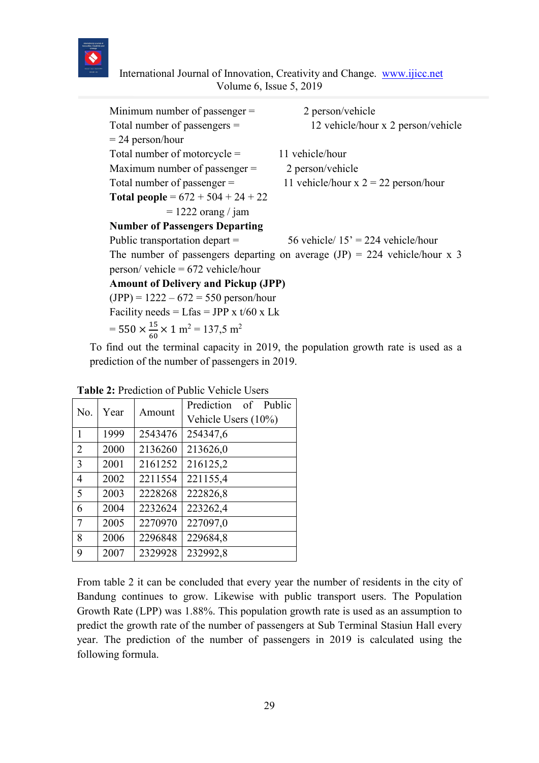

 International Journal of Innovation, Creativity and Change. [www.ijicc.net](http://www.ijicc.net/) Volume 6, Issue 5, 2019

| Minimum number of passenger $=$                                          | 2 person/vehicle                                                            |
|--------------------------------------------------------------------------|-----------------------------------------------------------------------------|
| Total number of passengers $=$                                           | 12 vehicle/hour x 2 person/vehicle                                          |
| $= 24$ person/hour                                                       |                                                                             |
| Total number of motorcycle $=$                                           | 11 vehicle/hour                                                             |
| Maximum number of passenger $=$                                          | 2 person/vehicle                                                            |
| Total number of passenger $=$                                            | 11 vehicle/hour $x 2 = 22$ person/hour                                      |
| <b>Total people</b> = $672 + 504 + 24 + 22$                              |                                                                             |
| $= 1222$ orang / jam                                                     |                                                                             |
| <b>Number of Passengers Departing</b>                                    |                                                                             |
| Public transportation depart $=$                                         | 56 vehicle/ $15' = 224$ vehicle/hour                                        |
|                                                                          | The number of passengers departing on average $(JP) = 224$ vehicle/hour x 3 |
| $person/$ vehicle = 672 vehicle/hour                                     |                                                                             |
| <b>Amount of Delivery and Pickup (JPP)</b>                               |                                                                             |
| $(IPP) = 1222 - 672 = 550$ person/hour                                   |                                                                             |
| Facility needs = Lfas = JPP x $t/60$ x Lk                                |                                                                             |
| = $550 \times \frac{15}{60} \times 1 \text{ m}^2$ = 137,5 m <sup>2</sup> |                                                                             |

To find out the terminal capacity in 2019, the population growth rate is used as a prediction of the number of passengers in 2019.

| No.            | Year | Amount  | Prediction of Public |
|----------------|------|---------|----------------------|
|                |      |         | Vehicle Users (10%)  |
| 1              | 1999 | 2543476 | 254347,6             |
| $\overline{2}$ | 2000 | 2136260 | 213626,0             |
| 3              | 2001 | 2161252 | 216125,2             |
| $\overline{4}$ | 2002 | 2211554 | 221155,4             |
| 5              | 2003 | 2228268 | 222826,8             |
| 6              | 2004 | 2232624 | 223262,4             |
| 7              | 2005 | 2270970 | 227097,0             |
| 8              | 2006 | 2296848 | 229684,8             |
| 9              | 2007 | 2329928 | 232992,8             |

**Table 2:** Prediction of Public Vehicle Users

From table 2 it can be concluded that every year the number of residents in the city of Bandung continues to grow. Likewise with public transport users. The Population Growth Rate (LPP) was 1.88%. This population growth rate is used as an assumption to predict the growth rate of the number of passengers at Sub Terminal Stasiun Hall every year. The prediction of the number of passengers in 2019 is calculated using the following formula.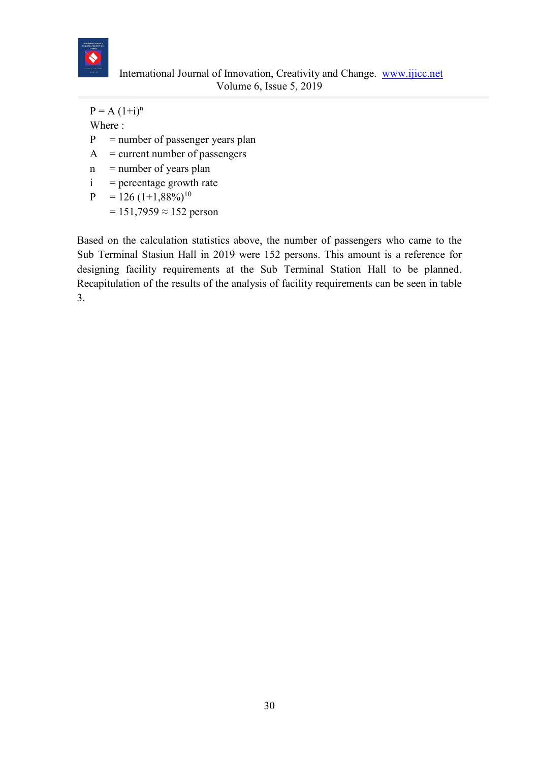

 $P = A (1+i)^n$ Where :  $P =$  number of passenger years plan  $A =$  current number of passengers  $n$  = number of years plan  $i =$  percentage growth rate

 $P = 126 (1+1,88\%)^{10}$  $= 151,7959 \approx 152$  person

Based on the calculation statistics above, the number of passengers who came to the Sub Terminal Stasiun Hall in 2019 were 152 persons. This amount is a reference for designing facility requirements at the Sub Terminal Station Hall to be planned. Recapitulation of the results of the analysis of facility requirements can be seen in table 3.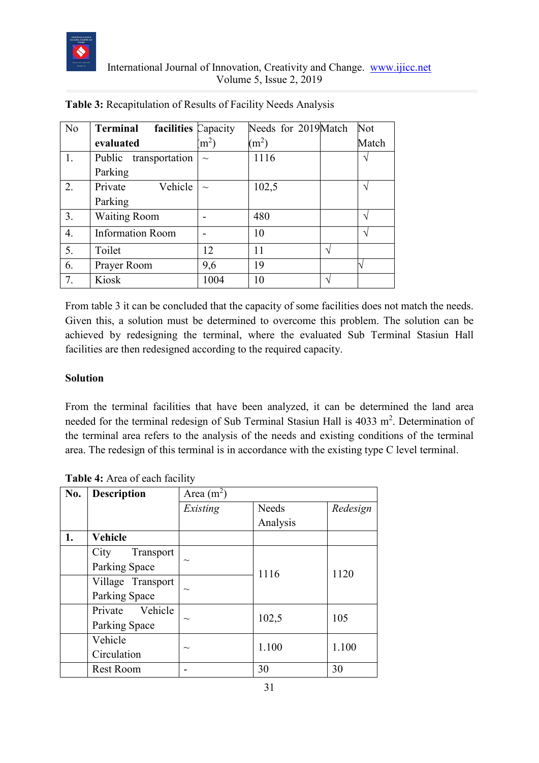

| No               | Terminal<br>facilities Capacity |             | Needs for 2019Match |              | Not   |
|------------------|---------------------------------|-------------|---------------------|--------------|-------|
|                  | evaluated                       | $\rm (m^2)$ | (m <sup>2</sup> )   |              | Match |
| 1.               | Public transportation           | $\sim$      | 1116                |              |       |
|                  | Parking                         |             |                     |              |       |
| 2.               | Private<br>Vehicle              | $\sim$      | 102,5               |              |       |
|                  | Parking                         |             |                     |              |       |
| 3.               | <b>Waiting Room</b>             |             | 480                 |              |       |
| $\overline{4}$ . | <b>Information Room</b>         |             | 10                  |              |       |
| 5.               | Toilet                          | 12          | 11                  | $\mathbf{v}$ |       |
| 6.               | Prayer Room                     | 9,6         | 19                  |              |       |
| 7.               | Kiosk                           | 1004        | 10                  |              |       |

**Table 3:** Recapitulation of Results of Facility Needs Analysis

From table 3 it can be concluded that the capacity of some facilities does not match the needs. Given this, a solution must be determined to overcome this problem. The solution can be achieved by redesigning the terminal, where the evaluated Sub Terminal Stasiun Hall facilities are then redesigned according to the required capacity.

#### **Solution**

From the terminal facilities that have been analyzed, it can be determined the land area needed for the terminal redesign of Sub Terminal Stasiun Hall is 4033 m<sup>2</sup>. Determination of the terminal area refers to the analysis of the needs and existing conditions of the terminal area. The redesign of this terminal is in accordance with the existing type C level terminal.

| No. | <b>Description</b> | Area $(m^2)$ |              |          |  |
|-----|--------------------|--------------|--------------|----------|--|
|     |                    | Existing     | <b>Needs</b> | Redesign |  |
|     |                    |              | Analysis     |          |  |
| 1.  | <b>Vehicle</b>     |              |              |          |  |
|     | Transport<br>City  |              |              |          |  |
|     | Parking Space      | $\sim$       | 1116         | 1120     |  |
|     | Village Transport  |              |              |          |  |
|     | Parking Space      | $\sim$       |              |          |  |
|     | Private Vehicle    |              | 102,5        | 105      |  |
|     | Parking Space      | $\sim$       |              |          |  |
|     | Vehicle            |              | 1.100        | 1.100    |  |
|     | Circulation        | $\sim$       |              |          |  |
|     | <b>Rest Room</b>   |              | 30           | 30       |  |

**Table 4:** Area of each facility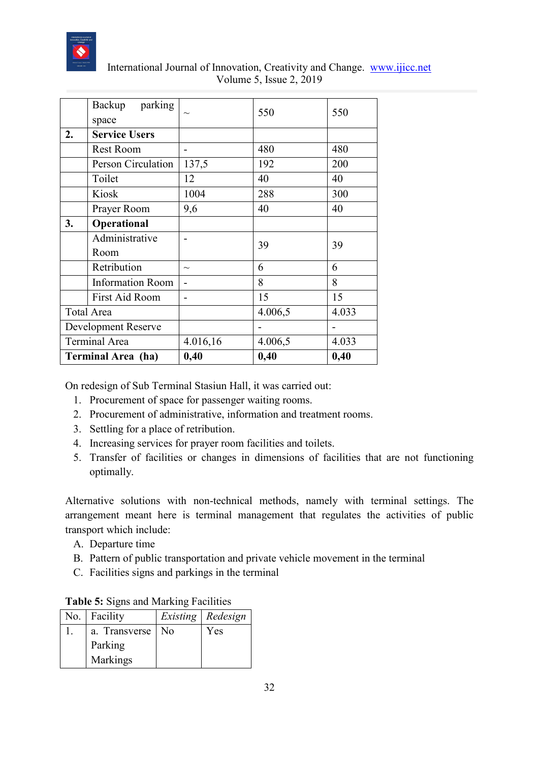

|    | parking<br>Backup<br>space |        | 550     | 550   |
|----|----------------------------|--------|---------|-------|
|    |                            |        |         |       |
| 2. | <b>Service Users</b>       |        |         |       |
|    | <b>Rest Room</b>           |        | 480     | 480   |
|    | Person Circulation         | 137,5  | 192     | 200   |
|    | Toilet                     | 12     | 40      | 40    |
|    | Kiosk                      | 1004   | 288     | 300   |
|    | Prayer Room                | 9,6    | 40      | 40    |
| 3. | Operational                |        |         |       |
|    | Administrative             |        |         |       |
|    | Room                       |        | 39      | 39    |
|    | Retribution                | $\sim$ | 6       | 6     |
|    | <b>Information Room</b>    |        | 8       | 8     |
|    | <b>First Aid Room</b>      |        | 15      | 15    |
|    | <b>Total Area</b>          |        | 4.006,5 | 4.033 |
|    | Development Reserve        |        |         |       |

 International Journal of Innovation, Creativity and Change. [www.ijicc.net](http://www.ijicc.net/) Volume 5, Issue 2, 2019

On redesign of Sub Terminal Stasiun Hall, it was carried out:

Terminal Area  $\begin{array}{|l|c|c|c|c|} \hline 4.016,16 & & 4.006,5 & & 4.033 \hline \end{array}$ **Terminal Area (ha) 0,40 0,40 0,40**

- 1. Procurement of space for passenger waiting rooms.
- 2. Procurement of administrative, information and treatment rooms.
- 3. Settling for a place of retribution.
- 4. Increasing services for prayer room facilities and toilets.
- 5. Transfer of facilities or changes in dimensions of facilities that are not functioning optimally.

Alternative solutions with non-technical methods, namely with terminal settings. The arrangement meant here is terminal management that regulates the activities of public transport which include:

- A. Departure time
- B. Pattern of public transportation and private vehicle movement in the terminal
- C. Facilities signs and parkings in the terminal

| No.   Facility     | <i>Existing</i>   <i>Redesign</i> |
|--------------------|-----------------------------------|
| a. Transverse   No | Yes                               |
| Parking            |                                   |
| Markings           |                                   |

|  |  | Table 5: Signs and Marking Facilities |
|--|--|---------------------------------------|
|  |  |                                       |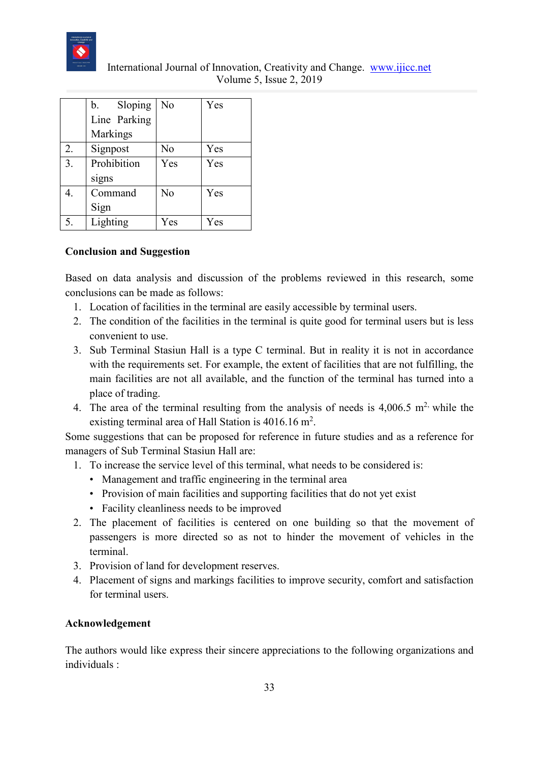

| International Journal of Innovation, Creativity and Change. www.ijicc.net |  |
|---------------------------------------------------------------------------|--|
| Volume 5, Issue 2, 2019                                                   |  |

|    | Sloping<br>b. | No             | Yes |
|----|---------------|----------------|-----|
|    | Line Parking  |                |     |
|    | Markings      |                |     |
| 2. | Signpost      | No             | Yes |
| 3. | Prohibition   | Yes            | Yes |
|    | signs         |                |     |
| 4. | Command       | N <sub>o</sub> | Yes |
|    | Sign          |                |     |
|    | Lighting      | Yes            | Yes |

#### **Conclusion and Suggestion**

Based on data analysis and discussion of the problems reviewed in this research, some conclusions can be made as follows:

- 1. Location of facilities in the terminal are easily accessible by terminal users.
- 2. The condition of the facilities in the terminal is quite good for terminal users but is less convenient to use.
- 3. Sub Terminal Stasiun Hall is a type C terminal. But in reality it is not in accordance with the requirements set. For example, the extent of facilities that are not fulfilling, the main facilities are not all available, and the function of the terminal has turned into a place of trading.
- 4. The area of the terminal resulting from the analysis of needs is  $4,006.5$  m<sup>2</sup>, while the existing terminal area of Hall Station is  $4016.16$  m<sup>2</sup>.

Some suggestions that can be proposed for reference in future studies and as a reference for managers of Sub Terminal Stasiun Hall are:

- 1. To increase the service level of this terminal, what needs to be considered is:
	- Management and traffic engineering in the terminal area
	- Provision of main facilities and supporting facilities that do not yet exist
	- Facility cleanliness needs to be improved
- 2. The placement of facilities is centered on one building so that the movement of passengers is more directed so as not to hinder the movement of vehicles in the terminal.
- 3. Provision of land for development reserves.
- 4. Placement of signs and markings facilities to improve security, comfort and satisfaction for terminal users.

#### **Acknowledgement**

The authors would like express their sincere appreciations to the following organizations and individuals :